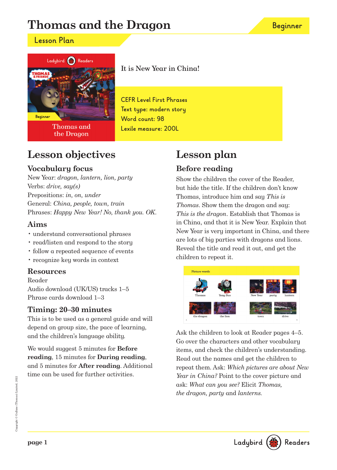# **Thomas and the Dragon**

### **Lesson Plan**



**Thomas and** the Dragon

It is New Year in China!

**CEFR Level First Phrases Text type: modern story Word count: 98 Lexile measure: 200L**

# **Lesson objectives**

### **Vocabulary focus**

New Year: dragon, lantern, lion, party Verbs: drive, say(s) Prepositions: in, on, under General: China, people, town, train Phrases: Happy New Year! No, thank you. OK.

### **Aims**

- understand conversational phrases
- read/listen and respond to the story
- follow a repeated sequence of events
- recognize key words in context

#### **Resources**

Reader Audio download (UK/US) tracks 1–5 Phrase cards download 1–3

### **Timing: 20–30 minutes**

This is to be used as a general guide and will depend on group size, the pace of learning, and the children's language ability.

We would suggest 5 minutes for **Before reading**, 15 minutes for **During reading**, and 5 minutes for **After reading**. Additional time can be used for further activities.

# **Lesson plan Before reading**

Show the children the cover of the Reader, but hide the title. If the children don't know Thomas, introduce him and say This is Thomas. Show them the dragon and say: This is the dragon. Establish that Thomas is in China, and that it is New Year. Explain that New Year is very important in China, and there are lots of big parties with dragons and lions. Reveal the title and read it out, and get the children to repeat it.



Ask the children to look at Reader pages 4–5. Go over the characters and other vocabulary items, and check the children's understanding. Read out the names and get the children to repeat them. Ask: Which pictures are about New Year in China? Point to the cover picture and ask: What can you see? Elicit Thomas, the dragon, party and lanterns.